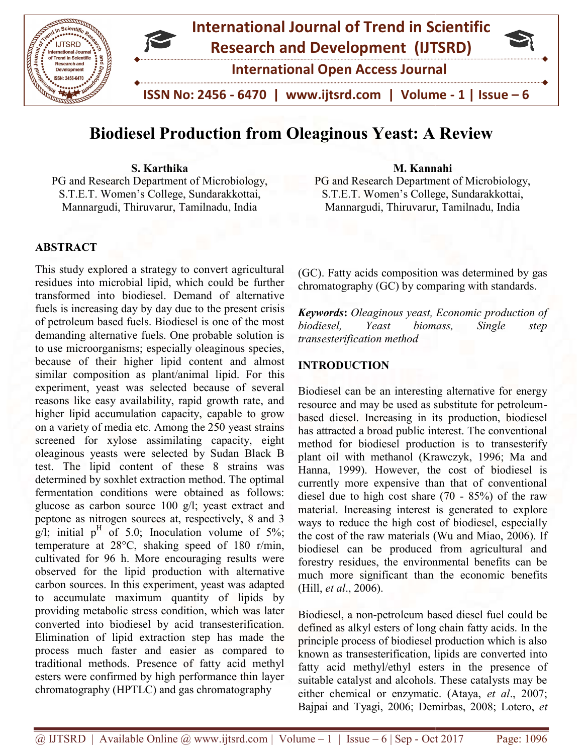

# Biodiesel Production from Oleaginous Yeast: A Review

S. Karthika PG and Research Department of Microbiology, S.T.E.T. Women's College, Sundarakkottai, Mannargudi, Thiruvarur, Tamilnadu, India S. Karthika<br>
h Department of Microbiology, PG and Research Department<br>
ien's College, Sundarakkottai, S.T.E.T. Women's College, Sundarakkottai, Mannargudi, Thiruvarur, Tamilnadu, India

#### ABSTRACT

This study explored a strategy to convert agricultural residues into microbial lipid, which could be further transformed into biodiesel. Demand of alternative residues into microbial lipid, which could be further<br>transformed into biodiesel. Demand of alternative<br>fuels is increasing day by day due to the present crisis of petroleum based fuels. Biodiesel is one of the most demanding alternative fuels. One probable solution is to use microorganisms; especially oleaginous species, because of their higher lipid content and almost similar composition as plant/animal lipid. For this experiment, yeast was selected because of several reasons like easy availability, rapid growth rate, and higher lipid accumulation capacity, capable to grow on a variety of media etc. Among the 250 yeast strains screened for xylose assimilating capacity, eight oleaginous yeasts were selected by Sudan Black B test. The lipid content of these 8 strains was determined by soxhlet extraction method. The optimal fermentation conditions were obtained as follows: glucose as carbon source 100 g/l; yeast extract and peptone as nitrogen sources at, respectively, 8 and 3 g/l; initial  $p^H$  of 5.0; Inoculation volume of 5%; temperature at 28°C, shaking speed of 180 r/min, cultivated for 96 h. More encouraging results were observed for the lipid production with alternative carbon sources. In this experiment, yeast was adapted to accumulate maximum quantity of lipids by providing metabolic stress condition, which was later converted into biodiesel by acid transesterification. Elimination of lipid extraction step has made the process much faster and easier as compared to traditional methods. Presence of fatty acid methyl esters were confirmed by high performance thin layer chromatography (HPTLC) and gas chromatography alternative fuels. One probable solution is<br>borganisms; especially oleaginous species,<br>their higher lipid content and almost<br>position as plant/animal lipid. For this reasons like easy availability, rapid growth rate, and<br>higher lipid accumulation capacity, capable to grow<br>on a variety of media etc. Among the 250 yeast strains<br>screened for xylose assimilating capacity, eight<br>oleaginous  $p<sup>H</sup>$  of 5.0; Inoculation volume of 5%;<br>re at 28°C, shaking speed of 180 r/min,<br>for 96 h. More encouraging results were<br>for the lipid production with alternative expected a stress geometric aptical (GC). Fatty acids composition was determined of alternation in the biomatography (GC) by comparing with state incoludest. December of alternative comparing with state besoes and for the

PG and Research Department of Microbiology, S.T.E.T. Women's College, Sundarakkottai, Mannargudi, Thiruvarur, Tamilnadu, India PG and Research Department of Microbiology,<br>S.T.E.T. Women's College, Sundarakkottai,<br>Mannargudi, Thiruvarur, Tamilnadu, India<br>C). Fatty acids composition was determined by gas

chromatography (GC) by comparing with standards. chromatography

Keywords: Oleaginous yeast, Economic production of biodiesel, Yeast biomass, Single step transesterification method

#### INTRODUCTION

Biodiesel can be an interesting alternative for energy Biodiesel can be an interesting alternative for energy resource and may be used as substitute for petroleumbased diesel. Increasing in its production, biodiesel has attracted a broad public interest. The conventional method for biodiesel production is to transesterify has attracted a broad public interest. The conventional method for biodiesel production is to transesterify plant oil with methanol (Krawczyk, 1996; Ma and Hanna, 1999). However, the cost of biodiesel is currently more expensive than that of conventional diesel due to high cost share  $(70 - 85%)$  of the raw material. Increasing interest is generated to explore ways to reduce the high cost of biodiesel, especially the cost of the raw materials (Wu and Miao, 2006). If biodiesel can be produced from agricultural and forestry residues, the environmental benefits can be much more significant than the economic benefits (Hill, et al., 2006). l (Krawczyk, 1996; Ma and<br>r, the cost of biodiesel is<br>ve than that of conventional<br>share (70 - 85%) of the raw o reduce the high cost of biodiesel, especially<br>tt of the raw materials (Wu and Miao, 2006). If<br>sel can be produced from agricultural and<br>y residues, the environmental benefits can be<br>more significant than the economic ben

Biodiesel, a non-petroleum based diesel fuel could be defined as alkyl esters of long chain fatty acids. In the principle process of biodiesel production which is also Biodiesel, a non-petroleum based diesel fuel could be defined as alkyl esters of long chain fatty acids. In the principle process of biodiesel production which is also known as transesterification, lipids are converted int fatty acid methyl/ethyl esters in the presence of suitable catalyst and alcohols. These catalysts may be suitable catalyst and alcohols. These catalysts may be either chemical or enzymatic. (Ataya, *et al.*, 2007; Bajpai and Tyagi, 2006; Demirbas, 2008; Lotero, et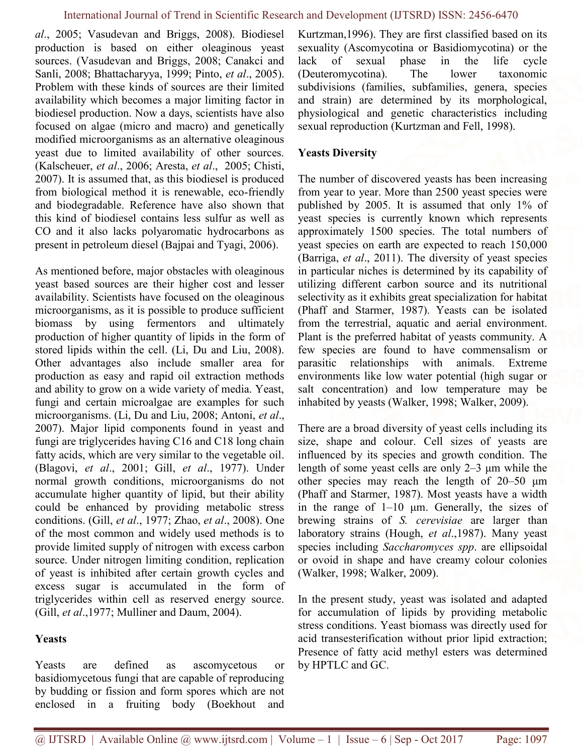al., 2005; Vasudevan and Briggs, 2008). Biodiesel production is based on either oleaginous yeast sources. (Vasudevan and Briggs, 2008; Canakci and Sanli, 2008; Bhattacharyya, 1999; Pinto, et al., 2005). Problem with these kinds of sources are their limited availability which becomes a major limiting factor in biodiesel production. Now a days, scientists have also focused on algae (micro and macro) and genetically modified microorganisms as an alternative oleaginous yeast due to limited availability of other sources. (Kalscheuer, et al., 2006; Aresta, et al., 2005; Chisti, 2007). It is assumed that, as this biodiesel is produced from biological method it is renewable, eco-friendly and biodegradable. Reference have also shown that this kind of biodiesel contains less sulfur as well as CO and it also lacks polyaromatic hydrocarbons as present in petroleum diesel (Bajpai and Tyagi, 2006).

As mentioned before, major obstacles with oleaginous yeast based sources are their higher cost and lesser availability. Scientists have focused on the oleaginous microorganisms, as it is possible to produce sufficient biomass by using fermentors and ultimately production of higher quantity of lipids in the form of stored lipids within the cell. (Li, Du and Liu, 2008). Other advantages also include smaller area for production as easy and rapid oil extraction methods and ability to grow on a wide variety of media. Yeast, fungi and certain microalgae are examples for such microorganisms. (Li, Du and Liu, 2008; Antoni, et al., 2007). Major lipid components found in yeast and fungi are triglycerides having C16 and C18 long chain fatty acids, which are very similar to the vegetable oil. (Blagovi, et al., 2001; Gill, et al., 1977). Under normal growth conditions, microorganisms do not accumulate higher quantity of lipid, but their ability could be enhanced by providing metabolic stress conditions. (Gill, et al., 1977; Zhao, et al., 2008). One of the most common and widely used methods is to provide limited supply of nitrogen with excess carbon source. Under nitrogen limiting condition, replication of yeast is inhibited after certain growth cycles and excess sugar is accumulated in the form of triglycerides within cell as reserved energy source. (Gill, et al.,1977; Mulliner and Daum, 2004).

# Yeasts

Yeasts are defined as ascomycetous or basidiomycetous fungi that are capable of reproducing by budding or fission and form spores which are not enclosed in a fruiting body (Boekhout and Kurtzman,1996). They are first classified based on its sexuality (Ascomycotina or Basidiomycotina) or the lack of sexual phase in the life cycle (Deuteromycotina). The lower taxonomic subdivisions (families, subfamilies, genera, species and strain) are determined by its morphological, physiological and genetic characteristics including sexual reproduction (Kurtzman and Fell, 1998).

# Yeasts Diversity

The number of discovered yeasts has been increasing from year to year. More than 2500 yeast species were published by 2005. It is assumed that only 1% of yeast species is currently known which represents approximately 1500 species. The total numbers of yeast species on earth are expected to reach 150,000 (Barriga, et al., 2011). The diversity of yeast species in particular niches is determined by its capability of utilizing different carbon source and its nutritional selectivity as it exhibits great specialization for habitat (Phaff and Starmer, 1987). Yeasts can be isolated from the terrestrial, aquatic and aerial environment. Plant is the preferred habitat of yeasts community. A few species are found to have commensalism or parasitic relationships with animals. Extreme environments like low water potential (high sugar or salt concentration) and low temperature may be inhabited by yeasts (Walker, 1998; Walker, 2009).

There are a broad diversity of yeast cells including its size, shape and colour. Cell sizes of yeasts are influenced by its species and growth condition. The length of some yeast cells are only 2–3 μm while the other species may reach the length of 20–50 μm (Phaff and Starmer, 1987). Most yeasts have a width in the range of 1–10 μm. Generally, the sizes of brewing strains of S. cerevisiae are larger than laboratory strains (Hough, et al., 1987). Many yeast species including Saccharomyces spp. are ellipsoidal or ovoid in shape and have creamy colour colonies (Walker, 1998; Walker, 2009).

In the present study, yeast was isolated and adapted for accumulation of lipids by providing metabolic stress conditions. Yeast biomass was directly used for acid transesterification without prior lipid extraction; Presence of fatty acid methyl esters was determined by HPTLC and GC.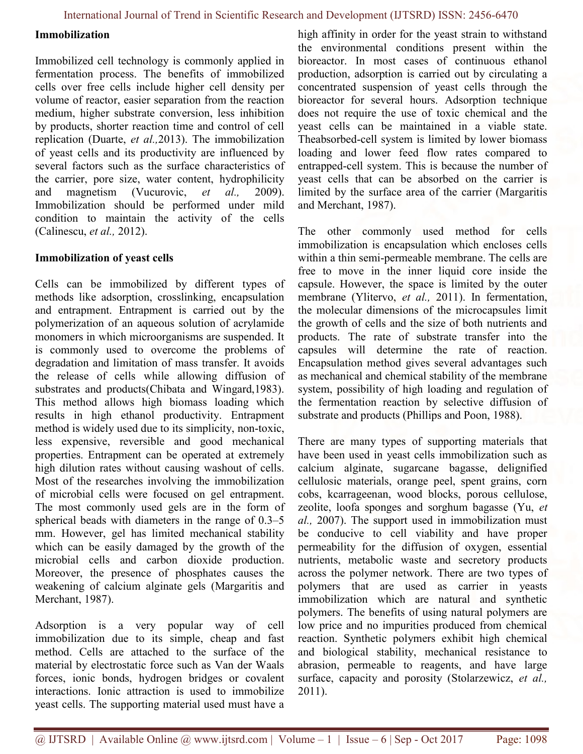#### Immobilization

Immobilized cell technology is commonly applied in fermentation process. The benefits of immobilized cells over free cells include higher cell density per volume of reactor, easier separation from the reaction medium, higher substrate conversion, less inhibition by products, shorter reaction time and control of cell replication (Duarte, *et al.*, 2013). The immobilization of yeast cells and its productivity are influenced by several factors such as the surface characteristics of the carrier, pore size, water content, hydrophilicity and magnetism (Vucurovic, et al., 2009). Immobilization should be performed under mild condition to maintain the activity of the cells (Calinescu, et al., 2012).

#### Immobilization of yeast cells

Cells can be immobilized by different types of methods like adsorption, crosslinking, encapsulation and entrapment. Entrapment is carried out by the polymerization of an aqueous solution of acrylamide monomers in which microorganisms are suspended. It is commonly used to overcome the problems of degradation and limitation of mass transfer. It avoids the release of cells while allowing diffusion of substrates and products(Chibata and Wingard,1983). This method allows high biomass loading which results in high ethanol productivity. Entrapment method is widely used due to its simplicity, non-toxic, less expensive, reversible and good mechanical properties. Entrapment can be operated at extremely high dilution rates without causing washout of cells. Most of the researches involving the immobilization of microbial cells were focused on gel entrapment. The most commonly used gels are in the form of spherical beads with diameters in the range of 0.3–5 mm. However, gel has limited mechanical stability which can be easily damaged by the growth of the microbial cells and carbon dioxide production. Moreover, the presence of phosphates causes the weakening of calcium alginate gels (Margaritis and Merchant, 1987).

Adsorption is a very popular way of cell immobilization due to its simple, cheap and fast method. Cells are attached to the surface of the material by electrostatic force such as Van der Waals forces, ionic bonds, hydrogen bridges or covalent interactions. Ionic attraction is used to immobilize yeast cells. The supporting material used must have a high affinity in order for the yeast strain to withstand the environmental conditions present within the bioreactor. In most cases of continuous ethanol production, adsorption is carried out by circulating a concentrated suspension of yeast cells through the bioreactor for several hours. Adsorption technique does not require the use of toxic chemical and the yeast cells can be maintained in a viable state. Theabsorbed-cell system is limited by lower biomass loading and lower feed flow rates compared to entrapped-cell system. This is because the number of yeast cells that can be absorbed on the carrier is limited by the surface area of the carrier (Margaritis and Merchant, 1987).

The other commonly used method for cells immobilization is encapsulation which encloses cells within a thin semi-permeable membrane. The cells are free to move in the inner liquid core inside the capsule. However, the space is limited by the outer membrane (Ylitervo, et al., 2011). In fermentation, the molecular dimensions of the microcapsules limit the growth of cells and the size of both nutrients and products. The rate of substrate transfer into the capsules will determine the rate of reaction. Encapsulation method gives several advantages such as mechanical and chemical stability of the membrane system, possibility of high loading and regulation of the fermentation reaction by selective diffusion of substrate and products (Phillips and Poon, 1988).

There are many types of supporting materials that have been used in yeast cells immobilization such as calcium alginate, sugarcane bagasse, delignified cellulosic materials, orange peel, spent grains, corn cobs, kcarrageenan, wood blocks, porous cellulose, zeolite, loofa sponges and sorghum bagasse (Yu, et al., 2007). The support used in immobilization must be conducive to cell viability and have proper permeability for the diffusion of oxygen, essential nutrients, metabolic waste and secretory products across the polymer network. There are two types of polymers that are used as carrier in yeasts immobilization which are natural and synthetic polymers. The benefits of using natural polymers are low price and no impurities produced from chemical reaction. Synthetic polymers exhibit high chemical and biological stability, mechanical resistance to abrasion, permeable to reagents, and have large surface, capacity and porosity (Stolarzewicz, et al., 2011).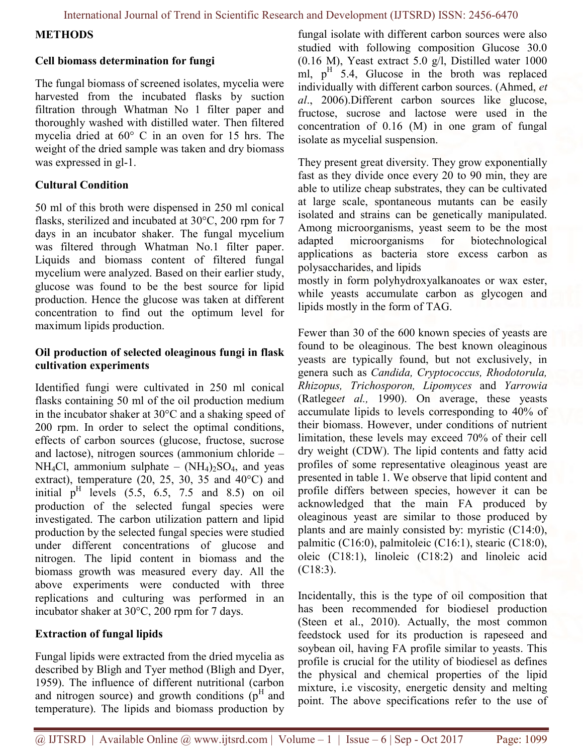#### METHODS

#### Cell biomass determination for fungi

The fungal biomass of screened isolates, mycelia were harvested from the incubated flasks by suction filtration through Whatman No 1 filter paper and thoroughly washed with distilled water. Then filtered mycelia dried at 60° C in an oven for 15 hrs. The weight of the dried sample was taken and dry biomass was expressed in gl-1.

#### Cultural Condition

50 ml of this broth were dispensed in 250 ml conical flasks, sterilized and incubated at 30°C, 200 rpm for 7 days in an incubator shaker. The fungal mycelium was filtered through Whatman No.1 filter paper. Liquids and biomass content of filtered fungal mycelium were analyzed. Based on their earlier study, glucose was found to be the best source for lipid production. Hence the glucose was taken at different concentration to find out the optimum level for maximum lipids production.

### Oil production of selected oleaginous fungi in flask cultivation experiments

Identified fungi were cultivated in 250 ml conical flasks containing 50 ml of the oil production medium in the incubator shaker at 30°C and a shaking speed of 200 rpm. In order to select the optimal conditions, effects of carbon sources (glucose, fructose, sucrose and lactose), nitrogen sources (ammonium chloride –  $NH_4Cl$ , ammonium sulphate –  $(NH_4)_2SO_4$ , and yeas extract), temperature  $(20, 25, 30, 35, 40, 40^{\circ}$ C) and initial  $p^H$  levels  $(5.5, 6.5, 7.5, 7.5)$  on oil production of the selected fungal species were investigated. The carbon utilization pattern and lipid production by the selected fungal species were studied under different concentrations of glucose and nitrogen. The lipid content in biomass and the biomass growth was measured every day. All the above experiments were conducted with three replications and culturing was performed in an incubator shaker at 30°C, 200 rpm for 7 days.

#### Extraction of fungal lipids

Fungal lipids were extracted from the dried mycelia as described by Bligh and Tyer method (Bligh and Dyer, 1959). The influence of different nutritional (carbon and nitrogen source) and growth conditions ( $p<sup>H</sup>$  and temperature). The lipids and biomass production by fungal isolate with different carbon sources were also studied with following composition Glucose 30.0 (0.16 M), Yeast extract 5.0 g/l, Distilled water 1000 ml,  $p^H$  5.4, Glucose in the broth was replaced individually with different carbon sources. (Ahmed, et al., 2006).Different carbon sources like glucose, fructose, sucrose and lactose were used in the concentration of 0.16 (M) in one gram of fungal isolate as mycelial suspension.

They present great diversity. They grow exponentially fast as they divide once every 20 to 90 min, they are able to utilize cheap substrates, they can be cultivated at large scale, spontaneous mutants can be easily isolated and strains can be genetically manipulated. Among microorganisms, yeast seem to be the most adapted microorganisms for biotechnological applications as bacteria store excess carbon as polysaccharides, and lipids

mostly in form polyhydroxyalkanoates or wax ester, while yeasts accumulate carbon as glycogen and lipids mostly in the form of TAG.

Fewer than 30 of the 600 known species of yeasts are found to be oleaginous. The best known oleaginous yeasts are typically found, but not exclusively, in genera such as Candida, Cryptococcus, Rhodotorula, Rhizopus, Trichosporon, Lipomyces and Yarrowia (Ratlegeet al., 1990). On average, these yeasts accumulate lipids to levels corresponding to 40% of their biomass. However, under conditions of nutrient limitation, these levels may exceed 70% of their cell dry weight (CDW). The lipid contents and fatty acid profiles of some representative oleaginous yeast are presented in table 1. We observe that lipid content and profile differs between species, however it can be acknowledged that the main FA produced by oleaginous yeast are similar to those produced by plants and are mainly consisted by: myristic (C14:0), palmitic (C16:0), palmitoleic (C16:1), stearic (C18:0), oleic (C18:1), linoleic (C18:2) and linoleic acid  $(C18:3)$ .

Incidentally, this is the type of oil composition that has been recommended for biodiesel production (Steen et al., 2010). Actually, the most common feedstock used for its production is rapeseed and soybean oil, having FA profile similar to yeasts. This profile is crucial for the utility of biodiesel as defines the physical and chemical properties of the lipid mixture, i.e viscosity, energetic density and melting point. The above specifications refer to the use of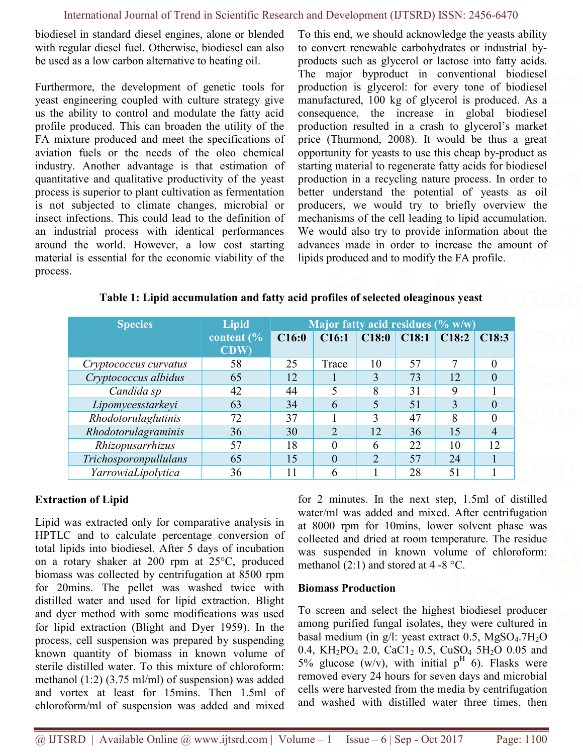biodiesel in standard diesel engines, alone or blended with regular diesel fuel. Otherwise, biodiesel can also be used as a low carbon alternative to heating oil.

Furthermore, the development of genetic tools for yeast engineering coupled with culture strategy give us the ability to control and modulate the fatty acid profile produced. This can broaden the utility of the FA mixture produced and meet the specifications of aviation fuels or the needs of the oleo chemical industry. Another advantage is that estimation of quantitative and qualitative productivity of the yeast process is superior to plant cultivation as fermentation is not subjected to climate changes, microbial or insect infections. This could lead to the definition of an industrial process with identical performances around the world. However, a low cost starting material is essential for the economic viability of the process.

To this end, we should acknowledge the yeasts ability to convert renewable carbohydrates or industrial byproducts such as glycerol or lactose into fatty acids. The major byproduct in conventional biodiesel production is glycerol: for every tone of biodiesel manufactured, 100 kg of glycerol is produced. As a consequence, the increase in global biodiesel production resulted in a crash to glycerol's market price (Thurmond, 2008). It would be thus a great opportunity for yeasts to use this cheap by-product as starting material to regenerate fatty acids for biodiesel production in a recycling nature process. In order to better understand the potential of yeasts as oil producers, we would try to briefly overview the mechanisms of the cell leading to lipid accumulation. We would also try to provide information about the advances made in order to increase the amount of lipids produced and to modify the FA profile.

| <b>Species</b>        | <b>Lipid</b>                        | Major fatty acid residues (% w/w) |          |                |       |       |       |
|-----------------------|-------------------------------------|-----------------------------------|----------|----------------|-------|-------|-------|
|                       | content $\frac{6}{6}$<br><b>CDW</b> | C16:0                             | C16:1    | C18:0          | C18:1 | C18:2 | C18:3 |
| Cryptococcus curvatus | 58                                  | 25                                | Trace    | 10             | 57    |       |       |
| Cryptococcus albidus  | 65                                  | 12                                |          | 3              | 73    | 12    |       |
| Candida sp            | 42                                  | 44                                |          | 8              | 31    | Q     |       |
| Lipomycesstarkeyi     | 63                                  | 34                                | 6        | 5              | 51    | 3     |       |
| Rhodotorulaglutinis   | 72                                  | 37                                |          | 3              | 47    | 8     |       |
| Rhodotorulagraminis   | 36                                  | 30                                | 2        | 12             | 36    | 15    |       |
| Rhizopusarrhizus      | 57                                  | 18                                | 0        | 6              | 22    | 10    | 12    |
| Trichosporonpullulans | 65                                  | 15                                | $\Omega$ | $\overline{2}$ | 57    | 24    |       |
| YarrowiaLipolytica    | 36                                  | 11                                | 6        |                | 28    | 51    |       |

Table 1: Lipid accumulation and fatty acid profiles of selected oleaginous yeast

#### Extraction of Lipid

Lipid was extracted only for comparative analysis in HPTLC and to calculate percentage conversion of total lipids into biodiesel. After 5 days of incubation on a rotary shaker at 200 rpm at 25°C, produced biomass was collected by centrifugation at 8500 rpm for 20mins. The pellet was washed twice with distilled water and used for lipid extraction. Blight and dyer method with some modifications was used for lipid extraction (Blight and Dyer 1959). In the process, cell suspension was prepared by suspending known quantity of biomass in known volume of sterile distilled water. To this mixture of chloroform: methanol (1:2) (3.75 ml/ml) of suspension) was added and vortex at least for 15mins. Then 1.5ml of chloroform/ml of suspension was added and mixed for 2 minutes. In the next step, 1.5ml of distilled water/ml was added and mixed. After centrifugation at 8000 rpm for 10mins, lower solvent phase was collected and dried at room temperature. The residue was suspended in known volume of chloroform: methanol (2:1) and stored at 4 -8  $^{\circ}$ C.

#### Biomass Production

To screen and select the highest biodiesel producer among purified fungal isolates, they were cultured in basal medium (in g/l: yeast extract 0.5, MgSO<sub>4</sub>.7H<sub>2</sub>O 0.4, KH<sub>2</sub>PO<sub>4</sub> 2.0, CaC1<sub>2</sub> 0.5, CuSO<sub>4</sub> 5H<sub>2</sub>O 0.05 and 5% glucose (w/v), with initial  $p^H$  6). Flasks were removed every 24 hours for seven days and microbial cells were harvested from the media by centrifugation and washed with distilled water three times, then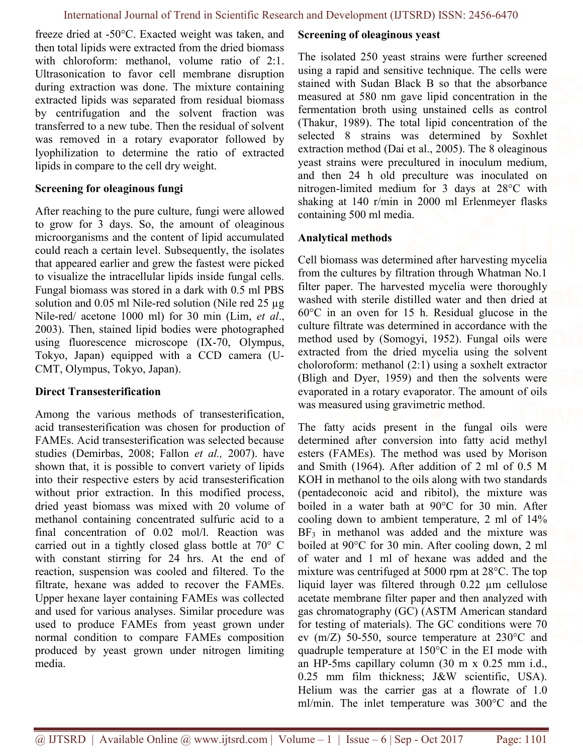freeze dried at -50°C. Exacted weight was taken, and then total lipids were extracted from the dried biomass with chloroform: methanol, volume ratio of 2:1. Ultrasonication to favor cell membrane disruption during extraction was done. The mixture containing extracted lipids was separated from residual biomass by centrifugation and the solvent fraction was transferred to a new tube. Then the residual of solvent was removed in a rotary evaporator followed by lyophilization to determine the ratio of extracted lipids in compare to the cell dry weight.

#### Screening for oleaginous fungi

After reaching to the pure culture, fungi were allowed to grow for 3 days. So, the amount of oleaginous microorganisms and the content of lipid accumulated could reach a certain level. Subsequently, the isolates that appeared earlier and grew the fastest were picked to visualize the intracellular lipids inside fungal cells. Fungal biomass was stored in a dark with 0.5 ml PBS solution and 0.05 ml Nile-red solution (Nile red 25 µg) Nile-red/ acetone 1000 ml) for 30 min (Lim, et al., 2003). Then, stained lipid bodies were photographed using fluorescence microscope (IX-70, Olympus, Tokyo, Japan) equipped with a CCD camera (U-CMT, Olympus, Tokyo, Japan).

#### Direct Transesterification

Among the various methods of transesterification, acid transesterification was chosen for production of FAMEs. Acid transesterification was selected because studies (Demirbas, 2008; Fallon et al., 2007). have shown that, it is possible to convert variety of lipids into their respective esters by acid transesterification without prior extraction. In this modified process, dried yeast biomass was mixed with 20 volume of methanol containing concentrated sulfuric acid to a final concentration of 0.02 mol/l. Reaction was carried out in a tightly closed glass bottle at 70° C with constant stirring for 24 hrs. At the end of reaction, suspension was cooled and filtered. To the filtrate, hexane was added to recover the FAMEs. Upper hexane layer containing FAMEs was collected and used for various analyses. Similar procedure was used to produce FAMEs from yeast grown under normal condition to compare FAMEs composition produced by yeast grown under nitrogen limiting media.

#### Screening of oleaginous yeast

The isolated 250 yeast strains were further screened using a rapid and sensitive technique. The cells were stained with Sudan Black B so that the absorbance measured at 580 nm gave lipid concentration in the fermentation broth using unstained cells as control (Thakur, 1989). The total lipid concentration of the selected 8 strains was determined by Soxhlet extraction method (Dai et al., 2005). The 8 oleaginous yeast strains were precultured in inoculum medium, and then 24 h old preculture was inoculated on nitrogen-limited medium for 3 days at 28°C with shaking at 140 r/min in 2000 ml Erlenmeyer flasks containing 500 ml media.

## Analytical methods

Cell biomass was determined after harvesting mycelia from the cultures by filtration through Whatman No.1 filter paper. The harvested mycelia were thoroughly washed with sterile distilled water and then dried at 60°C in an oven for 15 h. Residual glucose in the culture filtrate was determined in accordance with the method used by (Somogyi, 1952). Fungal oils were extracted from the dried mycelia using the solvent choloroform: methanol (2:1) using a soxhelt extractor (Bligh and Dyer, 1959) and then the solvents were evaporated in a rotary evaporator. The amount of oils was measured using gravimetric method.

The fatty acids present in the fungal oils were determined after conversion into fatty acid methyl esters (FAMEs). The method was used by Morison and Smith (1964). After addition of 2 ml of 0.5 M KOH in methanol to the oils along with two standards (pentadeconoic acid and ribitol), the mixture was boiled in a water bath at 90°C for 30 min. After cooling down to ambient temperature, 2 ml of 14%  $BF<sub>3</sub>$  in methanol was added and the mixture was boiled at 90°C for 30 min. After cooling down, 2 ml of water and 1 ml of hexane was added and the mixture was centrifuged at 5000 rpm at 28°C. The top liquid layer was filtered through 0.22 µm cellulose acetate membrane filter paper and then analyzed with gas chromatography (GC) (ASTM American standard for testing of materials). The GC conditions were 70 ev (m/Z) 50-550, source temperature at 230°C and quadruple temperature at 150°C in the EI mode with an HP-5ms capillary column (30 m x 0.25 mm i.d., 0.25 mm film thickness; J&W scientific, USA). Helium was the carrier gas at a flowrate of 1.0 ml/min. The inlet temperature was 300°C and the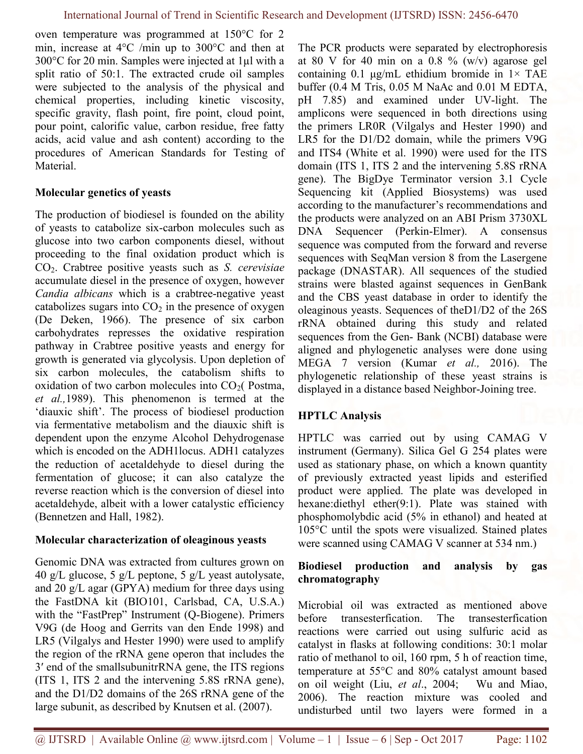oven temperature was programmed at 150°C for 2 min, increase at 4°C /min up to 300°C and then at 300°C for 20 min. Samples were injected at 1µl with a split ratio of 50:1. The extracted crude oil samples were subjected to the analysis of the physical and chemical properties, including kinetic viscosity, specific gravity, flash point, fire point, cloud point, pour point, calorific value, carbon residue, free fatty acids, acid value and ash content) according to the procedures of American Standards for Testing of Material.

### Molecular genetics of yeasts

The production of biodiesel is founded on the ability of yeasts to catabolize six-carbon molecules such as glucose into two carbon components diesel, without proceeding to the final oxidation product which is CO2. Crabtree positive yeasts such as S. cerevisiae accumulate diesel in the presence of oxygen, however Candia albicans which is a crabtree-negative yeast catabolizes sugars into  $CO<sub>2</sub>$  in the presence of oxygen (De Deken, 1966). The presence of six carbon carbohydrates represses the oxidative respiration pathway in Crabtree positive yeasts and energy for growth is generated via glycolysis. Upon depletion of six carbon molecules, the catabolism shifts to oxidation of two carbon molecules into  $CO<sub>2</sub>$  (Postma, et al.,1989). This phenomenon is termed at the 'diauxic shift'. The process of biodiesel production via fermentative metabolism and the diauxic shift is dependent upon the enzyme Alcohol Dehydrogenase which is encoded on the ADH1locus. ADH1 catalyzes the reduction of acetaldehyde to diesel during the fermentation of glucose; it can also catalyze the reverse reaction which is the conversion of diesel into acetaldehyde, albeit with a lower catalystic efficiency (Bennetzen and Hall, 1982).

#### Molecular characterization of oleaginous yeasts

Genomic DNA was extracted from cultures grown on 40 g/L glucose, 5 g/L peptone, 5 g/L yeast autolysate, and 20 g/L agar (GPYA) medium for three days using the FastDNA kit (BIO101, Carlsbad, CA, U.S.A.) with the "FastPrep" Instrument (Q-Biogene). Primers V9G (de Hoog and Gerrits van den Ende 1998) and LR5 (Vilgalys and Hester 1990) were used to amplify the region of the rRNA gene operon that includes the 3′ end of the smallsubunitrRNA gene, the ITS regions (ITS 1, ITS 2 and the intervening 5.8S rRNA gene), and the D1/D2 domains of the 26S rRNA gene of the large subunit, as described by Knutsen et al. (2007).

The PCR products were separated by electrophoresis at 80 V for 40 min on a 0.8 % (w/v) agarose gel containing 0.1  $\mu$ g/mL ethidium bromide in 1× TAE buffer (0.4 M Tris, 0.05 M NaAc and 0.01 M EDTA, pH 7.85) and examined under UV-light. The amplicons were sequenced in both directions using the primers LR0R (Vilgalys and Hester 1990) and LR5 for the D1/D2 domain, while the primers V9G and ITS4 (White et al. 1990) were used for the ITS domain (ITS 1, ITS 2 and the intervening 5.8S rRNA gene). The BigDye Terminator version 3.1 Cycle Sequencing kit (Applied Biosystems) was used according to the manufacturer's recommendations and the products were analyzed on an ABI Prism 3730XL DNA Sequencer (Perkin-Elmer). A consensus sequence was computed from the forward and reverse sequences with SeqMan version 8 from the Lasergene package (DNASTAR). All sequences of the studied strains were blasted against sequences in GenBank and the CBS yeast database in order to identify the oleaginous yeasts. Sequences of theD1/D2 of the 26S rRNA obtained during this study and related sequences from the Gen- Bank (NCBI) database were aligned and phylogenetic analyses were done using MEGA 7 version (Kumar et al., 2016). The phylogenetic relationship of these yeast strains is displayed in a distance based Neighbor-Joining tree.

# HPTLC Analysis

HPTLC was carried out by using CAMAG V instrument (Germany). Silica Gel G 254 plates were used as stationary phase, on which a known quantity of previously extracted yeast lipids and esterified product were applied. The plate was developed in hexane:diethyl ether(9:1). Plate was stained with phosphomolybdic acid (5% in ethanol) and heated at 105°C until the spots were visualized. Stained plates were scanned using CAMAG V scanner at 534 nm.)

# Biodiesel production and analysis by gas chromatography

Microbial oil was extracted as mentioned above before transesterfication. The transesterfication reactions were carried out using sulfuric acid as catalyst in flasks at following conditions: 30:1 molar ratio of methanol to oil, 160 rpm, 5 h of reaction time, temperature at 55°C and 80% catalyst amount based on oil weight (Liu, et al., 2004; Wu and Miao, 2006). The reaction mixture was cooled and undisturbed until two layers were formed in a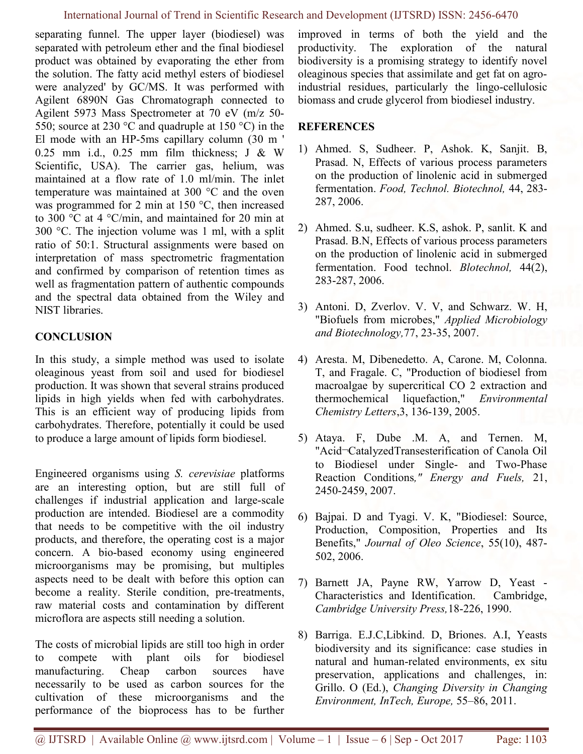separating funnel. The upper layer (biodiesel) was separated with petroleum ether and the final biodiesel product was obtained by evaporating the ether from the solution. The fatty acid methyl esters of biodiesel were analyzed' by GC/MS. It was performed with Agilent 6890N Gas Chromatograph connected to Agilent 5973 Mass Spectrometer at 70 eV (m/z 50- 550; source at 230 °C and quadruple at 150 °C) in the El mode with an HP-5ms capillary column (30 m '  $0.25$  mm i.d.,  $0.25$  mm film thickness; J & W Scientific, USA). The carrier gas, helium, was maintained at a flow rate of 1.0 ml/min. The inlet temperature was maintained at 300 °C and the oven was programmed for 2 min at 150 °C, then increased to 300 °C at 4 °C/min, and maintained for 20 min at 300 °C. The injection volume was 1 ml, with a split ratio of 50:1. Structural assignments were based on interpretation of mass spectrometric fragmentation and confirmed by comparison of retention times as well as fragmentation pattern of authentic compounds and the spectral data obtained from the Wiley and NIST libraries.

# **CONCLUSION**

In this study, a simple method was used to isolate oleaginous yeast from soil and used for biodiesel production. It was shown that several strains produced lipids in high yields when fed with carbohydrates. This is an efficient way of producing lipids from carbohydrates. Therefore, potentially it could be used to produce a large amount of lipids form biodiesel.

Engineered organisms using S. cerevisiae platforms are an interesting option, but are still full of challenges if industrial application and large-scale production are intended. Biodiesel are a commodity that needs to be competitive with the oil industry products, and therefore, the operating cost is a major concern. A bio-based economy using engineered microorganisms may be promising, but multiples aspects need to be dealt with before this option can become a reality. Sterile condition, pre-treatments, raw material costs and contamination by different microflora are aspects still needing a solution.

The costs of microbial lipids are still too high in order to compete with plant oils for biodiesel manufacturing. Cheap carbon sources have necessarily to be used as carbon sources for the cultivation of these microorganisms and the performance of the bioprocess has to be further

improved in terms of both the yield and the productivity. The exploration of the natural biodiversity is a promising strategy to identify novel oleaginous species that assimilate and get fat on agroindustrial residues, particularly the lingo-cellulosic biomass and crude glycerol from biodiesel industry.

#### **REFERENCES**

- 1) Ahmed. S, Sudheer. P, Ashok. K, Sanjit. B, Prasad. N, Effects of various process parameters on the production of linolenic acid in submerged fermentation. Food, Technol. Biotechnol, 44, 283- 287, 2006.
- 2) Ahmed. S.u, sudheer. K.S, ashok. P, sanlit. K and Prasad. B.N, Effects of various process parameters on the production of linolenic acid in submerged fermentation. Food technol. Blotechnol, 44(2), 283-287, 2006.
- 3) Antoni. D, Zverlov. V. V, and Schwarz. W. H, "Biofuels from microbes," Applied Microbiology and Biotechnology,77, 23-35, 2007.
- 4) Aresta. M, Dibenedetto. A, Carone. M, Colonna. T, and Fragale. C, "Production of biodiesel from macroalgae by supercritical CO 2 extraction and thermochemical liquefaction," Environmental Chemistry Letters,3, 136-139, 2005.
- 5) Ataya. F, Dube .M. A, and Ternen. M, "Acid¬CatalyzedTransesterification of Canola Oil to Biodiesel under Single- and Two-Phase Reaction Conditions," Energy and Fuels, 21, 2450-2459, 2007.
- 6) Bajpai. D and Tyagi. V. K, "Biodiesel: Source, Production, Composition, Properties and Its Benefits," Journal of Oleo Science, 55(10), 487- 502, 2006.
- 7) Barnett JA, Payne RW, Yarrow D, Yeast Characteristics and Identification. Cambridge, Cambridge University Press,18-226, 1990.
- 8) Barriga. E.J.C,Libkind. D, Briones. A.I, Yeasts biodiversity and its significance: case studies in natural and human-related environments, ex situ preservation, applications and challenges, in: Grillo. O (Ed.), Changing Diversity in Changing Environment, InTech, Europe, 55–86, 2011.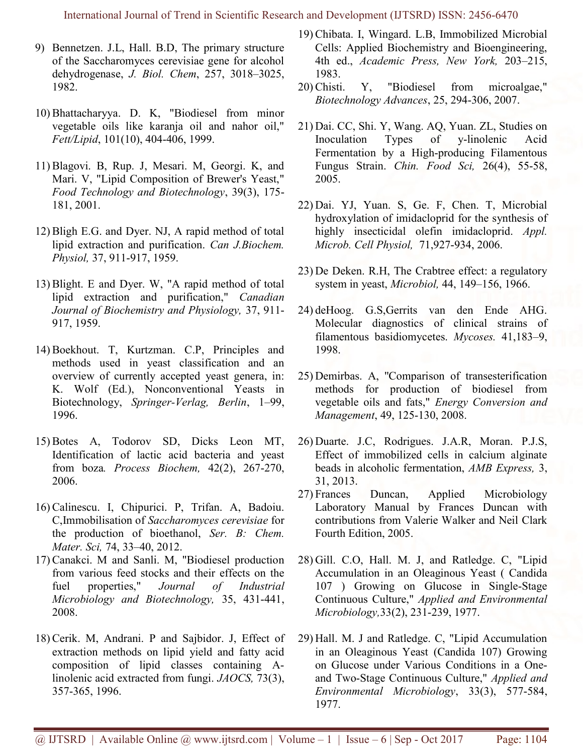- 9) Bennetzen. J.L, Hall. B.D, The primary structure of the Saccharomyces cerevisiae gene for alcohol dehydrogenase, J. Biol. Chem, 257, 3018–3025, 1982.
- 10) Bhattacharyya. D. K, "Biodiesel from minor vegetable oils like karanja oil and nahor oil," Fett/Lipid, 101(10), 404-406, 1999.
- 11) Blagovi. B, Rup. J, Mesari. M, Georgi. K, and Mari. V, "Lipid Composition of Brewer's Yeast," Food Technology and Biotechnology, 39(3), 175- 181, 2001.
- 12) Bligh E.G. and Dyer. NJ, A rapid method of total lipid extraction and purification. Can J.Biochem. Physiol, 37, 911-917, 1959.
- 13) Blight. E and Dyer. W, "A rapid method of total lipid extraction and purification," Canadian Journal of Biochemistry and Physiology, 37, 911- 917, 1959.
- 14) Boekhout. T, Kurtzman. C.P, Principles and methods used in yeast classification and an overview of currently accepted yeast genera, in: K. Wolf (Ed.), Nonconventional Yeasts in Biotechnology, Springer-Verlag, Berlin, 1–99, 1996.
- 15) Botes A, Todorov SD, Dicks Leon MT, Identification of lactic acid bacteria and yeast from boza. Process Biochem, 42(2), 267-270, 2006.
- 16) Calinescu. I, Chipurici. P, Trifan. A, Badoiu. C,Immobilisation of Saccharomyces cerevisiae for the production of bioethanol, Ser. B: Chem. Mater. Sci, 74, 33–40, 2012.
- 17) Canakci. M and Sanli. M, "Biodiesel production from various feed stocks and their effects on the fuel properties," *Journal of Industrial* Microbiology and Biotechnology, 35, 431-441, 2008.
- 18) Cerik. M, Andrani. P and Sajbidor. J, Effect of extraction methods on lipid yield and fatty acid composition of lipid classes containing Alinolenic acid extracted from fungi. JAOCS, 73(3), 357-365, 1996.
- 19) Chibata. I, Wingard. L.B, Immobilized Microbial Cells: Applied Biochemistry and Bioengineering, 4th ed., Academic Press, New York, 203–215, 1983.
- 20) Chisti. Y, "Biodiesel from microalgae," Biotechnology Advances, 25, 294-306, 2007.
- 21) Dai. CC, Shi. Y, Wang. AQ, Yuan. ZL, Studies on Inoculation Types of y-linolenic Acid Fermentation by a High-producing Filamentous Fungus Strain. Chin. Food Sci, 26(4), 55-58, 2005.
- 22) Dai. YJ, Yuan. S, Ge. F, Chen. T, Microbial hydroxylation of imidacloprid for the synthesis of highly insecticidal olefin imidacloprid. Appl. Microb. Cell Physiol, 71,927-934, 2006.
- 23) De Deken. R.H, The Crabtree effect: a regulatory system in yeast, Microbiol, 44, 149–156, 1966.
- 24) deHoog. G.S,Gerrits van den Ende AHG. Molecular diagnostics of clinical strains of filamentous basidiomycetes. Mycoses. 41,183–9, 1998.
- 25) Demirbas. A, ''Comparison of transesterification methods for production of biodiesel from vegetable oils and fats," Energy Conversion and Management, 49, 125-130, 2008.
- 26) Duarte. J.C, Rodrigues. J.A.R, Moran. P.J.S, Effect of immobilized cells in calcium alginate beads in alcoholic fermentation, AMB Express, 3, 31, 2013.
- 27) Frances Duncan, Applied Microbiology Laboratory Manual by Frances Duncan with contributions from Valerie Walker and Neil Clark Fourth Edition, 2005.
- 28) Gill. C.O, Hall. M. J, and Ratledge. C, "Lipid Accumulation in an Oleaginous Yeast ( Candida 107 ) Growing on Glucose in Single-Stage Continuous Culture," Applied and Environmental Microbiology,33(2), 231-239, 1977.
- 29) Hall. M. J and Ratledge. C, "Lipid Accumulation in an Oleaginous Yeast (Candida 107) Growing on Glucose under Various Conditions in a Oneand Two-Stage Continuous Culture," Applied and Environmental Microbiology, 33(3), 577-584, 1977.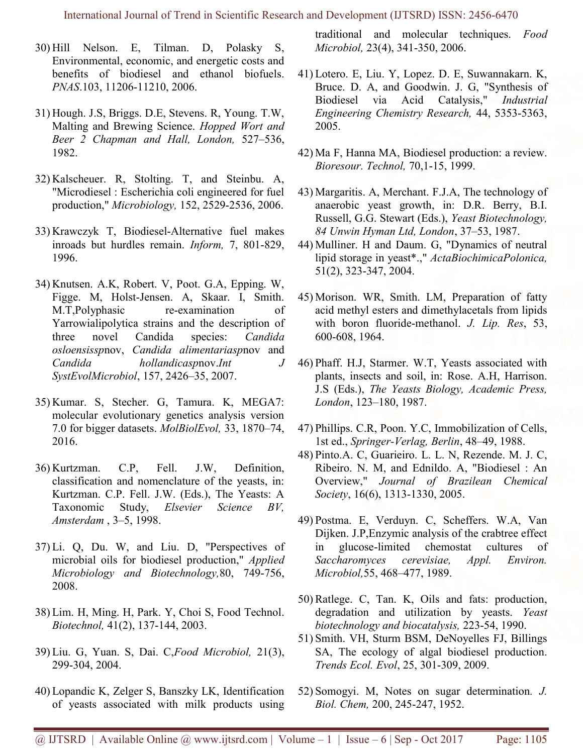- 30) Hill Nelson. E, Tilman. D, Polasky S, Environmental, economic, and energetic costs and benefits of biodiesel and ethanol biofuels. PNAS.103, 11206-11210, 2006.
- 31) Hough. J.S, Briggs. D.E, Stevens. R, Young. T.W, Malting and Brewing Science. Hopped Wort and Beer 2 Chapman and Hall, London, 527–536, 1982.
- 32) Kalscheuer. R, Stolting. T, and Steinbu. A, "Microdiesel : Escherichia coli engineered for fuel production," Microbiology, 152, 2529-2536, 2006.
- 33) Krawczyk T, Biodiesel-Alternative fuel makes inroads but hurdles remain. Inform, 7, 801-829, 1996.
- 34) Knutsen. A.K, Robert. V, Poot. G.A, Epping. W, Figge. M, Holst-Jensen. A, Skaar. I, Smith. M.T,Polyphasic re-examination of Yarrowialipolytica strains and the description of three novel Candida species: Candida osloensisspnov, Candida alimentariaspnov and Candida hollandicaspnov.Int J SystEvolMicrobiol, 157, 2426–35, 2007.
- 35) Kumar. S, Stecher. G, Tamura. K, MEGA7: molecular evolutionary genetics analysis version 7.0 for bigger datasets. MolBiolEvol, 33, 1870–74, 2016.
- 36) Kurtzman. C.P, Fell. J.W, Definition, classification and nomenclature of the yeasts, in: Kurtzman. C.P. Fell. J.W. (Eds.), The Yeasts: A Taxonomic Study, Elsevier Science BV, Amsterdam , 3–5, 1998.
- 37) Li. Q, Du. W, and Liu. D, "Perspectives of microbial oils for biodiesel production," Applied Microbiology and Biotechnology,80, 749-756, 2008.
- 38) Lim. H, Ming. H, Park. Y, Choi S, Food Technol. Biotechnol, 41(2), 137-144, 2003.
- 39) Liu. G, Yuan. S, Dai. C,Food Microbiol, 21(3), 299-304, 2004.
- 40) Lopandic K, Zelger S, Banszky LK, Identification of yeasts associated with milk products using

traditional and molecular techniques. Food Microbiol, 23(4), 341-350, 2006.

- 41) Lotero. E, Liu. Y, Lopez. D. E, Suwannakarn. K, Bruce. D. A, and Goodwin. J. G, "Synthesis of Biodiesel via Acid Catalysis," Industrial Engineering Chemistry Research, 44, 5353-5363, 2005.
- 42) Ma F, Hanna MA, Biodiesel production: a review. Bioresour. Technol, 70,1-15, 1999.
- 43) Margaritis. A, Merchant. F.J.A, The technology of anaerobic yeast growth, in: D.R. Berry, B.I. Russell, G.G. Stewart (Eds.), Yeast Biotechnology, 84 Unwin Hyman Ltd, London, 37–53, 1987.
- 44) Mulliner. H and Daum. G, "Dynamics of neutral lipid storage in yeast\*.," ActaBiochimicaPolonica, 51(2), 323-347, 2004.
- 45) Morison. WR, Smith. LM, Preparation of fatty acid methyl esters and dimethylacetals from lipids with boron fluoride-methanol. J. Lip. Res, 53, 600-608, 1964.
- 46) Phaff. H.J, Starmer. W.T, Yeasts associated with plants, insects and soil, in: Rose. A.H, Harrison. J.S (Eds.), The Yeasts Biology, Academic Press, London, 123–180, 1987.
- 47) Phillips. C.R, Poon. Y.C, Immobilization of Cells, 1st ed., Springer-Verlag, Berlin, 48–49, 1988.
- 48) Pinto.A. C, Guarieiro. L. L. N, Rezende. M. J. C, Ribeiro. N. M, and Ednildo. A, "Biodiesel : An Overview," Journal of Brazilean Chemical Society, 16(6), 1313-1330, 2005.
- 49) Postma. E, Verduyn. C, Scheffers. W.A, Van Dijken. J.P,Enzymic analysis of the crabtree effect in glucose-limited chemostat cultures of Saccharomyces cerevisiae, Appl. Environ. Microbiol,55, 468–477, 1989.
- 50) Ratlege. C, Tan. K, Oils and fats: production, degradation and utilization by yeasts. Yeast biotechnology and biocatalysis, 223-54, 1990.
- 51) Smith. VH, Sturm BSM, DeNoyelles FJ, Billings SA, The ecology of algal biodiesel production. Trends Ecol. Evol, 25, 301-309, 2009.
- 52) Somogyi. M, Notes on sugar determination. J. Biol. Chem, 200, 245-247, 1952.